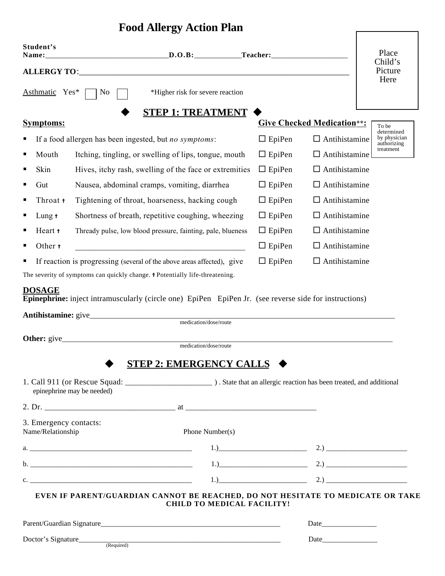## **Food Allergy Action Plan**

Г

| Student's<br>Name:                                                          |                                                             |                                                                                                                                 |                                                                                                                                                                                                                                                                                                                |                      | Place                             |                                          |
|-----------------------------------------------------------------------------|-------------------------------------------------------------|---------------------------------------------------------------------------------------------------------------------------------|----------------------------------------------------------------------------------------------------------------------------------------------------------------------------------------------------------------------------------------------------------------------------------------------------------------|----------------------|-----------------------------------|------------------------------------------|
|                                                                             |                                                             |                                                                                                                                 |                                                                                                                                                                                                                                                                                                                |                      |                                   | Child's<br>Picture                       |
| Asthmatic Yes*                                                              | No                                                          | *Higher risk for severe reaction                                                                                                |                                                                                                                                                                                                                                                                                                                |                      |                                   | Here                                     |
|                                                                             |                                                             | <b>STEP 1: TREATMENT</b>                                                                                                        |                                                                                                                                                                                                                                                                                                                |                      |                                   |                                          |
| <b>Symptoms:</b>                                                            |                                                             |                                                                                                                                 |                                                                                                                                                                                                                                                                                                                |                      | <b>Give Checked Medication**:</b> | To be<br>determined                      |
| п                                                                           |                                                             | If a food allergen has been ingested, but no symptoms:                                                                          |                                                                                                                                                                                                                                                                                                                | $\Box$ EpiPen        | $\Box$ Antihistamine              | by physician<br>authorizing<br>treatment |
| Mouth<br>п                                                                  | Itching, tingling, or swelling of lips, tongue, mouth       |                                                                                                                                 | $\Box$ EpiPen                                                                                                                                                                                                                                                                                                  | $\Box$ Antihistamine |                                   |                                          |
| Skin<br>Е                                                                   | Hives, itchy rash, swelling of the face or extremities      |                                                                                                                                 | $\Box$ EpiPen                                                                                                                                                                                                                                                                                                  | $\Box$ Antihistamine |                                   |                                          |
| П<br>Gut                                                                    | Nausea, abdominal cramps, vomiting, diarrhea                |                                                                                                                                 | $\Box$ EpiPen                                                                                                                                                                                                                                                                                                  | $\Box$ Antihistamine |                                   |                                          |
| п<br>Throat +                                                               | Tightening of throat, hoarseness, hacking cough             |                                                                                                                                 |                                                                                                                                                                                                                                                                                                                | $\Box$ EpiPen        | $\Box$ Antihistamine              |                                          |
| п<br>Lung $†$                                                               |                                                             | Shortness of breath, repetitive coughing, wheezing                                                                              |                                                                                                                                                                                                                                                                                                                | $\Box$ EpiPen        | $\Box$ Antihistamine              |                                          |
| Heart +<br>Е                                                                | Thready pulse, low blood pressure, fainting, pale, blueness |                                                                                                                                 | $\Box$ EpiPen                                                                                                                                                                                                                                                                                                  | $\Box$ Antihistamine |                                   |                                          |
| Other +<br>П                                                                | <u> 1989 - Johann Barbara, martin din bashkar (</u>         |                                                                                                                                 |                                                                                                                                                                                                                                                                                                                | $\Box$ EpiPen        | $\Box$ Antihistamine              |                                          |
| If reaction is progressing (several of the above areas affected), give<br>п |                                                             |                                                                                                                                 | $\Box$ EpiPen                                                                                                                                                                                                                                                                                                  | $\Box$ Antihistamine |                                   |                                          |
|                                                                             |                                                             | The severity of symptoms can quickly change. <i>† Potentially life-threatening</i> .                                            |                                                                                                                                                                                                                                                                                                                |                      |                                   |                                          |
|                                                                             |                                                             | Epinephrine: inject intramuscularly (circle one) EpiPen EpiPen Jr. (see reverse side for instructions)<br>medication/dose/route |                                                                                                                                                                                                                                                                                                                |                      |                                   |                                          |
| Other: give_                                                                |                                                             | medication/dose/route                                                                                                           |                                                                                                                                                                                                                                                                                                                |                      |                                   |                                          |
|                                                                             |                                                             | STEP 2: EMERGENCY CALLS $\blacklozenge$                                                                                         |                                                                                                                                                                                                                                                                                                                |                      |                                   |                                          |
|                                                                             | epinephrine may be needed)                                  |                                                                                                                                 |                                                                                                                                                                                                                                                                                                                |                      |                                   |                                          |
|                                                                             |                                                             |                                                                                                                                 |                                                                                                                                                                                                                                                                                                                |                      |                                   |                                          |
| 3. Emergency contacts:<br>Name/Relationship                                 |                                                             | Phone Number(s)                                                                                                                 |                                                                                                                                                                                                                                                                                                                |                      |                                   |                                          |
|                                                                             |                                                             |                                                                                                                                 | 1.) 2.) 2.1                                                                                                                                                                                                                                                                                                    |                      |                                   |                                          |
|                                                                             |                                                             |                                                                                                                                 | 1.) 2.) 2.1 and $\frac{1}{2}$ 2.1 and $\frac{1}{2}$ $\frac{1}{2}$ $\frac{1}{2}$ $\frac{1}{2}$ $\frac{1}{2}$ $\frac{1}{2}$ $\frac{1}{2}$ $\frac{1}{2}$ $\frac{1}{2}$ $\frac{1}{2}$ $\frac{1}{2}$ $\frac{1}{2}$ $\frac{1}{2}$ $\frac{1}{2}$ $\frac{1}{2}$ $\frac{1}{2}$ $\frac{1}{2}$ $\frac{1}{2}$ $\frac{1}{2$ |                      |                                   |                                          |
|                                                                             |                                                             |                                                                                                                                 | 1.) 2.) 2.1 and $\frac{1}{2}$ 2.1 and $\frac{1}{2}$ $\frac{1}{2}$ $\frac{1}{2}$ $\frac{1}{2}$ $\frac{1}{2}$ $\frac{1}{2}$ $\frac{1}{2}$ $\frac{1}{2}$ $\frac{1}{2}$ $\frac{1}{2}$ $\frac{1}{2}$ $\frac{1}{2}$ $\frac{1}{2}$ $\frac{1}{2}$ $\frac{1}{2}$ $\frac{1}{2}$ $\frac{1}{2}$ $\frac{1}{2}$ $\frac{1}{2$ |                      |                                   |                                          |
|                                                                             |                                                             | EVEN IF PARENT/GUARDIAN CANNOT BE REACHED, DO NOT HESITATE TO MEDICATE OR TAKE<br><b>CHILD TO MEDICAL FACILITY!</b>             |                                                                                                                                                                                                                                                                                                                |                      |                                   |                                          |
|                                                                             |                                                             |                                                                                                                                 |                                                                                                                                                                                                                                                                                                                |                      |                                   |                                          |
|                                                                             |                                                             |                                                                                                                                 |                                                                                                                                                                                                                                                                                                                |                      |                                   |                                          |
|                                                                             |                                                             |                                                                                                                                 |                                                                                                                                                                                                                                                                                                                |                      |                                   |                                          |